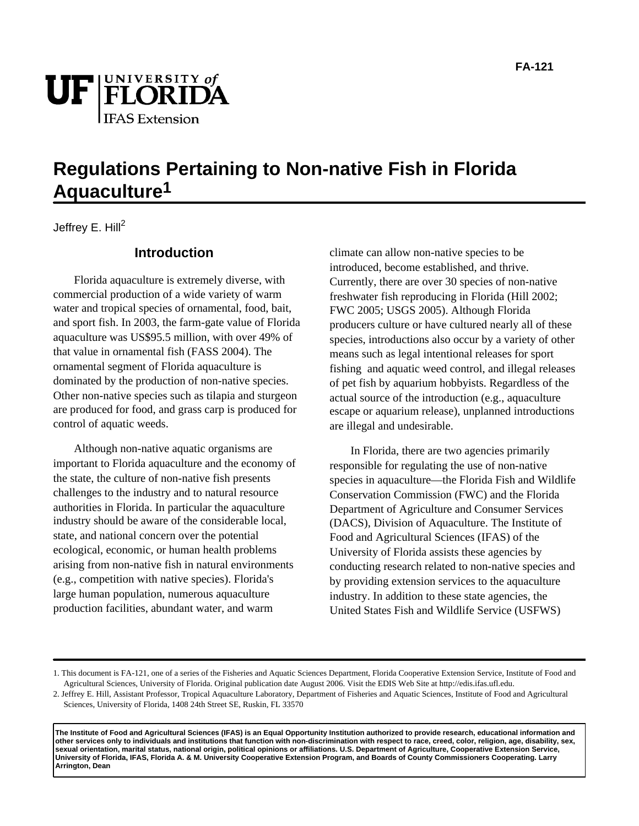

# **Regulations Pertaining to Non-native Fish in Florida Aquaculture1**

Jeffrey E. Hill<sup>2</sup>

### **Introduction**

Florida aquaculture is extremely diverse, with commercial production of a wide variety of warm water and tropical species of ornamental, food, bait, and sport fish. In 2003, the farm-gate value of Florida aquaculture was US\$95.5 million, with over 49% of that value in ornamental fish (FASS 2004). The ornamental segment of Florida aquaculture is dominated by the production of non-native species. Other non-native species such as tilapia and sturgeon are produced for food, and grass carp is produced for control of aquatic weeds.

Although non-native aquatic organisms are important to Florida aquaculture and the economy of the state, the culture of non-native fish presents challenges to the industry and to natural resource authorities in Florida. In particular the aquaculture industry should be aware of the considerable local, state, and national concern over the potential ecological, economic, or human health problems arising from non-native fish in natural environments (e.g., competition with native species). Florida's large human population, numerous aquaculture production facilities, abundant water, and warm

climate can allow non-native species to be introduced, become established, and thrive. Currently, there are over 30 species of non-native freshwater fish reproducing in Florida (Hill 2002; FWC 2005; USGS 2005). Although Florida producers culture or have cultured nearly all of these species, introductions also occur by a variety of other means such as legal intentional releases for sport fishing and aquatic weed control, and illegal releases of pet fish by aquarium hobbyists. Regardless of the actual source of the introduction (e.g., aquaculture escape or aquarium release), unplanned introductions are illegal and undesirable.

In Florida, there are two agencies primarily responsible for regulating the use of non-native species in aquaculture—the Florida Fish and Wildlife Conservation Commission (FWC) and the Florida Department of Agriculture and Consumer Services (DACS), Division of Aquaculture. The Institute of Food and Agricultural Sciences (IFAS) of the University of Florida assists these agencies by conducting research related to non-native species and by providing extension services to the aquaculture industry. In addition to these state agencies, the United States Fish and Wildlife Service (USFWS)

**The Institute of Food and Agricultural Sciences (IFAS) is an Equal Opportunity Institution authorized to provide research, educational information and other services only to individuals and institutions that function with non-discrimination with respect to race, creed, color, religion, age, disability, sex, sexual orientation, marital status, national origin, political opinions or affiliations. U.S. Department of Agriculture, Cooperative Extension Service, University of Florida, IFAS, Florida A. & M. University Cooperative Extension Program, and Boards of County Commissioners Cooperating. Larry Arrington, Dean**

<sup>1.</sup> This document is FA-121, one of a series of the Fisheries and Aquatic Sciences Department, Florida Cooperative Extension Service, Institute of Food and Agricultural Sciences, University of Florida. Original publication date August 2006. Visit the EDIS Web Site at http://edis.ifas.ufl.edu.

<sup>2.</sup> Jeffrey E. Hill, Assistant Professor, Tropical Aquaculture Laboratory, Department of Fisheries and Aquatic Sciences, Institute of Food and Agricultural Sciences, University of Florida, 1408 24th Street SE, Ruskin, FL 33570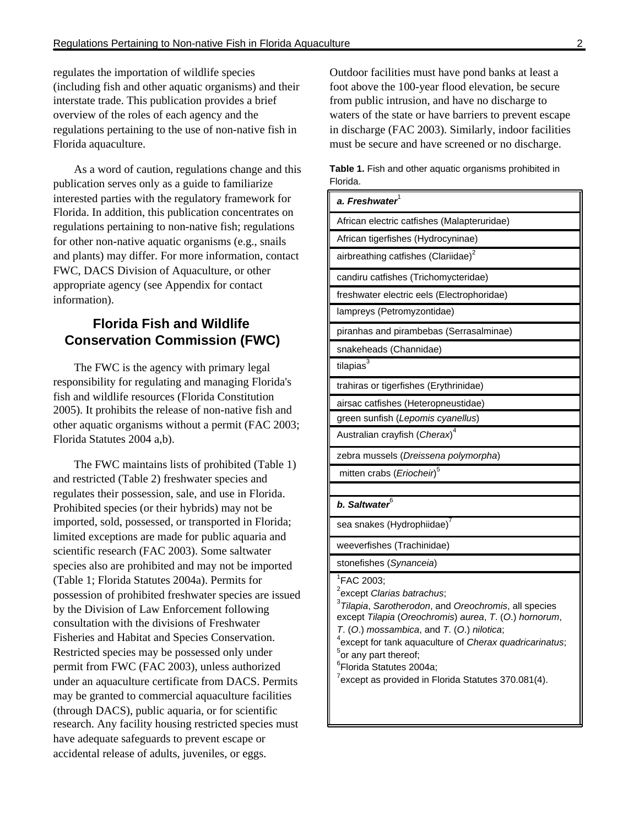regulates the importation of wildlife species (including fish and other aquatic organisms) and their interstate trade. This publication provides a brief overview of the roles of each agency and the regulations pertaining to the use of non-native fish in Florida aquaculture.

As a word of caution, regulations change and this publication serves only as a guide to familiarize interested parties with the regulatory framework for Florida. In addition, this publication concentrates on regulations pertaining to non-native fish; regulations for other non-native aquatic organisms (e.g., snails and plants) may differ. For more information, contact FWC, DACS Division of Aquaculture, or other appropriate agency (see Appendix for contact information).

# **Florida Fish and Wildlife Conservation Commission (FWC)**

The FWC is the agency with primary legal responsibility for regulating and managing Florida's fish and wildlife resources (Florida Constitution 2005). It prohibits the release of non-native fish and other aquatic organisms without a permit (FAC 2003; Florida Statutes 2004 a,b).

The FWC maintains lists of prohibited (Table 1) and restricted (Table 2) freshwater species and regulates their possession, sale, and use in Florida. Prohibited species (or their hybrids) may not be imported, sold, possessed, or transported in Florida; limited exceptions are made for public aquaria and scientific research (FAC 2003). Some saltwater species also are prohibited and may not be imported (Table 1; Florida Statutes 2004a). Permits for possession of prohibited freshwater species are issued by the Division of Law Enforcement following consultation with the divisions of Freshwater Fisheries and Habitat and Species Conservation. Restricted species may be possessed only under permit from FWC (FAC 2003), unless authorized under an aquaculture certificate from DACS. Permits may be granted to commercial aquaculture facilities (through DACS), public aquaria, or for scientific research. Any facility housing restricted species must have adequate safeguards to prevent escape or accidental release of adults, juveniles, or eggs.

Outdoor facilities must have pond banks at least a foot above the 100-year flood elevation, be secure from public intrusion, and have no discharge to waters of the state or have barriers to prevent escape in discharge (FAC 2003). Similarly, indoor facilities must be secure and have screened or no discharge.

**Table 1.** Fish and other aquatic organisms prohibited in Florida.

| a. Freshwater $^{\rm l}$                                                                                                                                                                                                                                                                                                                                                                                                                        |
|-------------------------------------------------------------------------------------------------------------------------------------------------------------------------------------------------------------------------------------------------------------------------------------------------------------------------------------------------------------------------------------------------------------------------------------------------|
| African electric catfishes (Malapteruridae)                                                                                                                                                                                                                                                                                                                                                                                                     |
| African tigerfishes (Hydrocyninae)                                                                                                                                                                                                                                                                                                                                                                                                              |
| airbreathing catfishes (Clariidae) <sup>2</sup>                                                                                                                                                                                                                                                                                                                                                                                                 |
| candiru catfishes (Trichomycteridae)                                                                                                                                                                                                                                                                                                                                                                                                            |
| freshwater electric eels (Electrophoridae)                                                                                                                                                                                                                                                                                                                                                                                                      |
| lampreys (Petromyzontidae)                                                                                                                                                                                                                                                                                                                                                                                                                      |
| piranhas and pirambebas (Serrasalminae)                                                                                                                                                                                                                                                                                                                                                                                                         |
| snakeheads (Channidae)                                                                                                                                                                                                                                                                                                                                                                                                                          |
| tilapias <sup>3</sup>                                                                                                                                                                                                                                                                                                                                                                                                                           |
| trahiras or tigerfishes (Erythrinidae)                                                                                                                                                                                                                                                                                                                                                                                                          |
| airsac catfishes (Heteropneustidae)                                                                                                                                                                                                                                                                                                                                                                                                             |
| green sunfish (Lepomis cyanellus)                                                                                                                                                                                                                                                                                                                                                                                                               |
| Australian crayfish (Cherax) <sup>4</sup>                                                                                                                                                                                                                                                                                                                                                                                                       |
| zebra mussels (Dreissena polymorpha)                                                                                                                                                                                                                                                                                                                                                                                                            |
| mitten crabs (Eriocheir) <sup>5</sup>                                                                                                                                                                                                                                                                                                                                                                                                           |
|                                                                                                                                                                                                                                                                                                                                                                                                                                                 |
| b. Saltwater <sup>6</sup>                                                                                                                                                                                                                                                                                                                                                                                                                       |
| sea snakes (Hydrophiidae) <sup>7</sup>                                                                                                                                                                                                                                                                                                                                                                                                          |
| weeverfishes (Trachinidae)                                                                                                                                                                                                                                                                                                                                                                                                                      |
| stonefishes (Synanceia)                                                                                                                                                                                                                                                                                                                                                                                                                         |
| <sup>1</sup> FAC 2003;<br><sup>2</sup> except Clarias batrachus;<br><sup>3</sup> Tilapia, Sarotherodon, and Oreochromis, all species<br>except Tilapia (Oreochromis) aurea, T. (O.) hornorum,<br>T. (O.) mossambica, and T. (O.) nilotica;<br><sup>4</sup> except for tank aquaculture of Cherax quadricarinatus;<br>$5$ or any part thereof;<br><sup>6</sup> Florida Statutes 2004a;<br>$7$ except as provided in Florida Statutes 370.081(4). |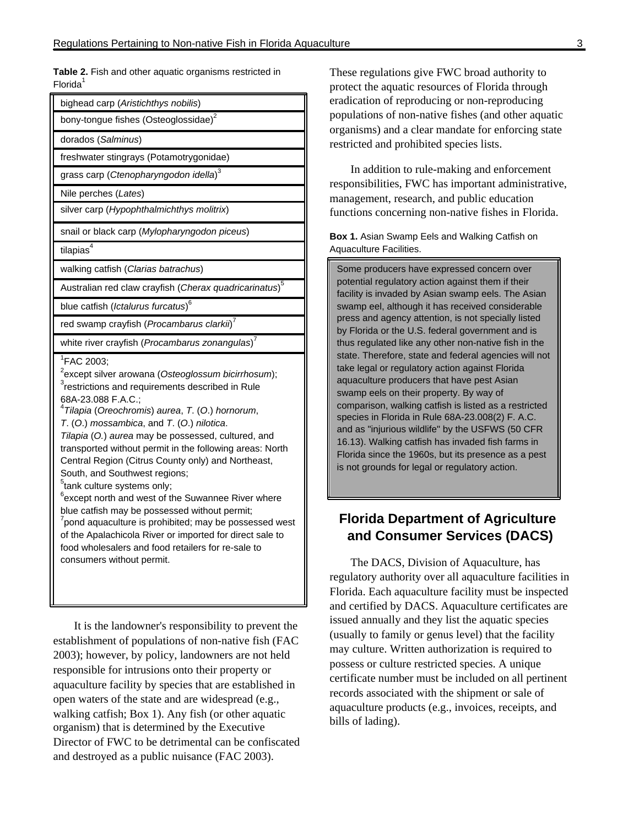**Table 2.** Fish and other aquatic organisms restricted in  $Florida<sup>1</sup>$ 

It is the landowner's responsibility to prevent the establishment of populations of non-native fish (FAC 2003); however, by policy, landowners are not held responsible for intrusions onto their property or aquaculture facility by species that are established in open waters of the state and are widespread (e.g., walking catfish; Box 1). Any fish (or other aquatic organism) that is determined by the Executive Director of FWC to be detrimental can be confiscated and destroyed as a public nuisance (FAC 2003).

These regulations give FWC broad authority to protect the aquatic resources of Florida through eradication of reproducing or non-reproducing populations of non-native fishes (and other aquatic organisms) and a clear mandate for enforcing state restricted and prohibited species lists.

In addition to rule-making and enforcement responsibilities, FWC has important administrative, management, research, and public education functions concerning non-native fishes in Florida.

**Box 1.** Asian Swamp Eels and Walking Catfish on Aquaculture Facilities.

Some producers have expressed concern over potential regulatory action against them if their facility is invaded by Asian swamp eels. The Asian swamp eel, although it has received considerable press and agency attention, is not specially listed by Florida or the U.S. federal government and is thus regulated like any other non-native fish in the state. Therefore, state and federal agencies will not take legal or regulatory action against Florida aquaculture producers that have pest Asian swamp eels on their property. By way of comparison, walking catfish is listed as a restricted species in Florida in Rule 68A-23.008(2) F. A.C. and as "injurious wildlife" by the USFWS (50 CFR 16.13). Walking catfish has invaded fish farms in Florida since the 1960s, but its presence as a pest is not grounds for legal or regulatory action.

# **Florida Department of Agriculture and Consumer Services (DACS)**

The DACS, Division of Aquaculture, has regulatory authority over all aquaculture facilities in Florida. Each aquaculture facility must be inspected and certified by DACS. Aquaculture certificates are issued annually and they list the aquatic species (usually to family or genus level) that the facility may culture. Written authorization is required to possess or culture restricted species. A unique certificate number must be included on all pertinent records associated with the shipment or sale of aquaculture products (e.g., invoices, receipts, and bills of lading).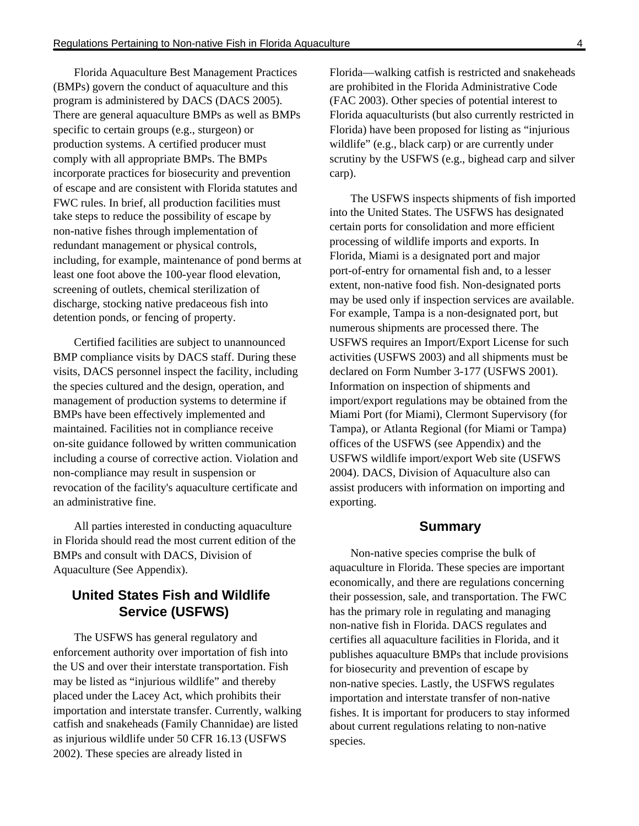Florida Aquaculture Best Management Practices (BMPs) govern the conduct of aquaculture and this program is administered by DACS (DACS 2005). There are general aquaculture BMPs as well as BMPs specific to certain groups (e.g., sturgeon) or production systems. A certified producer must comply with all appropriate BMPs. The BMPs incorporate practices for biosecurity and prevention of escape and are consistent with Florida statutes and FWC rules. In brief, all production facilities must take steps to reduce the possibility of escape by non-native fishes through implementation of redundant management or physical controls, including, for example, maintenance of pond berms at least one foot above the 100-year flood elevation, screening of outlets, chemical sterilization of discharge, stocking native predaceous fish into detention ponds, or fencing of property.

Certified facilities are subject to unannounced BMP compliance visits by DACS staff. During these visits, DACS personnel inspect the facility, including the species cultured and the design, operation, and management of production systems to determine if BMPs have been effectively implemented and maintained. Facilities not in compliance receive on-site guidance followed by written communication including a course of corrective action. Violation and non-compliance may result in suspension or revocation of the facility's aquaculture certificate and an administrative fine.

All parties interested in conducting aquaculture in Florida should read the most current edition of the BMPs and consult with DACS, Division of Aquaculture (See Appendix).

## **United States Fish and Wildlife Service (USFWS)**

The USFWS has general regulatory and enforcement authority over importation of fish into the US and over their interstate transportation. Fish may be listed as "injurious wildlife" and thereby placed under the Lacey Act, which prohibits their importation and interstate transfer. Currently, walking catfish and snakeheads (Family Channidae) are listed as injurious wildlife under 50 CFR 16.13 (USFWS 2002). These species are already listed in

Florida—walking catfish is restricted and snakeheads are prohibited in the Florida Administrative Code (FAC 2003). Other species of potential interest to Florida aquaculturists (but also currently restricted in Florida) have been proposed for listing as "injurious wildlife" (e.g., black carp) or are currently under scrutiny by the USFWS (e.g., bighead carp and silver carp).

The USFWS inspects shipments of fish imported into the United States. The USFWS has designated certain ports for consolidation and more efficient processing of wildlife imports and exports. In Florida, Miami is a designated port and major port-of-entry for ornamental fish and, to a lesser extent, non-native food fish. Non-designated ports may be used only if inspection services are available. For example, Tampa is a non-designated port, but numerous shipments are processed there. The USFWS requires an Import/Export License for such activities (USFWS 2003) and all shipments must be declared on Form Number 3-177 (USFWS 2001). Information on inspection of shipments and import/export regulations may be obtained from the Miami Port (for Miami), Clermont Supervisory (for Tampa), or Atlanta Regional (for Miami or Tampa) offices of the USFWS (see Appendix) and the USFWS wildlife import/export Web site (USFWS 2004). DACS, Division of Aquaculture also can assist producers with information on importing and exporting.

#### **Summary**

Non-native species comprise the bulk of aquaculture in Florida. These species are important economically, and there are regulations concerning their possession, sale, and transportation. The FWC has the primary role in regulating and managing non-native fish in Florida. DACS regulates and certifies all aquaculture facilities in Florida, and it publishes aquaculture BMPs that include provisions for biosecurity and prevention of escape by non-native species. Lastly, the USFWS regulates importation and interstate transfer of non-native fishes. It is important for producers to stay informed about current regulations relating to non-native species.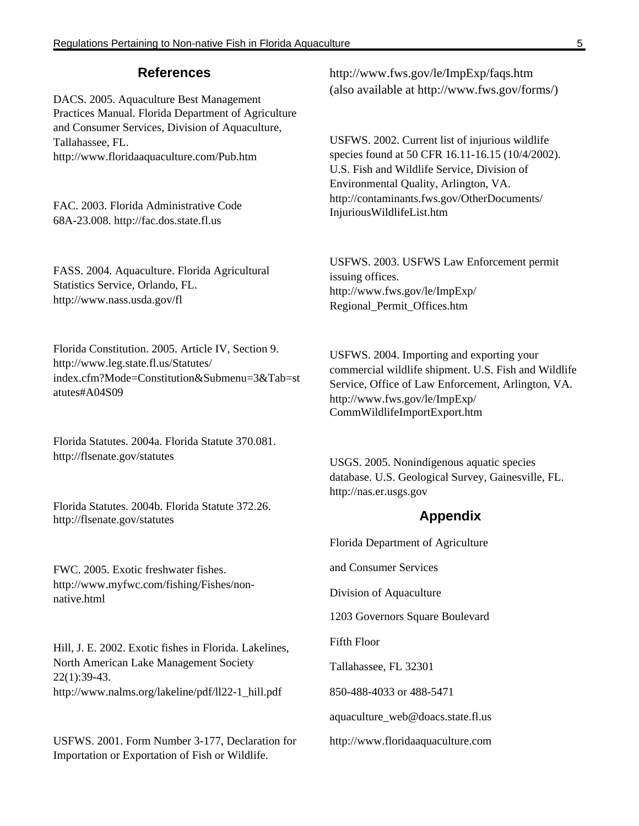#### **References**

DACS. 2005. Aquaculture Best Management Practices Manual. Florida Department of Agriculture and Consumer Services, Division of Aquaculture, Tallahassee, FL. http://www.floridaaquaculture.com/Pub.htm

FAC. 2003. Florida Administrative Code 68A-23.008. http://fac.dos.state.fl.us

FASS. 2004. Aquaculture. Florida Agricultural Statistics Service, Orlando, FL. http://www.nass.usda.gov/fl

Florida Constitution. 2005. Article IV, Section 9. http://www.leg.state.fl.us/Statutes/ index.cfm?Mode=Constitution&Submenu=3&Tab=st atutes#A04S09

Florida Statutes. 2004a. Florida Statute 370.081. http://flsenate.gov/statutes

Florida Statutes. 2004b. Florida Statute 372.26. http://flsenate.gov/statutes

FWC. 2005. Exotic freshwater fishes. http://www.myfwc.com/fishing/Fishes/nonnative.html

Hill, J. E. 2002. Exotic fishes in Florida. Lakelines, North American Lake Management Society 22(1):39-43. http://www.nalms.org/lakeline/pdf/ll22-1\_hill.pdf

USFWS. 2001. Form Number 3-177, Declaration for Importation or Exportation of Fish or Wildlife.

http://www.fws.gov/le/ImpExp/faqs.htm (also available at http://www.fws.gov/forms/)

USFWS. 2002. Current list of injurious wildlife species found at 50 CFR 16.11-16.15 (10/4/2002). U.S. Fish and Wildlife Service, Division of Environmental Quality, Arlington, VA. http://contaminants.fws.gov/OtherDocuments/ InjuriousWildlifeList.htm

USFWS. 2003. USFWS Law Enforcement permit issuing offices. http://www.fws.gov/le/ImpExp/ Regional\_Permit\_Offices.htm

USFWS. 2004. Importing and exporting your commercial wildlife shipment. U.S. Fish and Wildlife Service, Office of Law Enforcement, Arlington, VA. http://www.fws.gov/le/ImpExp/ CommWildlifeImportExport.htm

USGS. 2005. Nonindigenous aquatic species database. U.S. Geological Survey, Gainesville, FL. http://nas.er.usgs.gov

#### **Appendix**

Florida Department of Agriculture

and Consumer Services

Division of Aquaculture

1203 Governors Square Boulevard

Fifth Floor

Tallahassee, FL 32301

850-488-4033 or 488-5471

aquaculture\_web@doacs.state.fl.us

http://www.floridaaquaculture.com